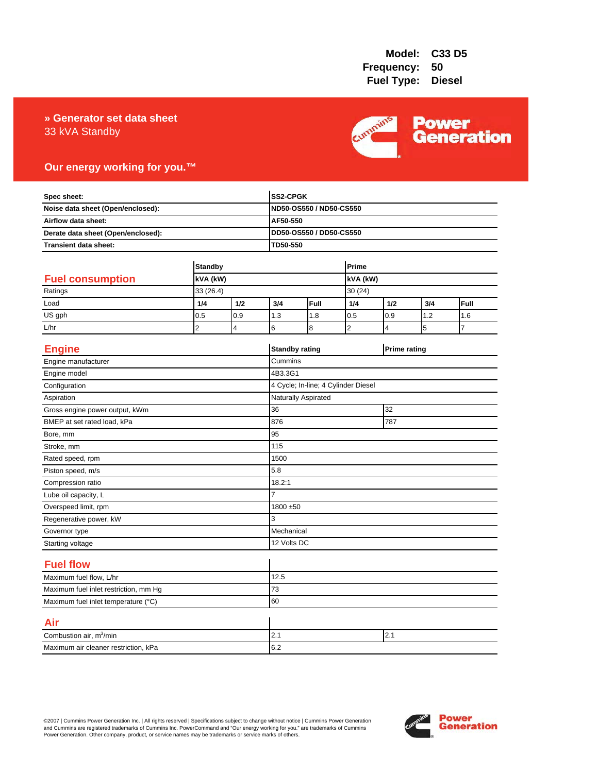### 33 kVA Standby **» Generator set data sheet**



### **Our energy working for you.™**

| Spec sheet:<br>Noise data sheet (Open/enclosed):<br>Airflow data sheet:<br>Derate data sheet (Open/enclosed): |                |                |                | SS2-CPGK<br>ND50-OS550 / ND50-CS550 |                |                     |     |      |
|---------------------------------------------------------------------------------------------------------------|----------------|----------------|----------------|-------------------------------------|----------------|---------------------|-----|------|
|                                                                                                               |                |                |                |                                     |                |                     |     |      |
|                                                                                                               |                |                | AF50-550       |                                     |                |                     |     |      |
|                                                                                                               |                |                |                | DD50-OS550 / DD50-CS550             |                |                     |     |      |
| Transient data sheet:                                                                                         |                |                | TD50-550       |                                     |                |                     |     |      |
|                                                                                                               | <b>Standby</b> |                |                | Prime                               |                |                     |     |      |
| <b>Fuel consumption</b>                                                                                       | kVA (kW)       |                |                |                                     | kVA (kW)       |                     |     |      |
| Ratings                                                                                                       | 33 (26.4)      |                |                |                                     | 30(24)         |                     |     |      |
| Load                                                                                                          | 1/4            | 1/2            | 3/4            | Full                                | 1/4            | 1/2                 | 3/4 | Full |
| US gph                                                                                                        | 0.5            | 0.9            | 1.3            | 1.8                                 | 0.5            | 0.9                 | 1.2 | 1.6  |
| L/hr                                                                                                          | $\overline{2}$ | $\overline{4}$ | 6              | 8                                   | $\overline{2}$ | 4                   | 5   | 7    |
| <b>Engine</b>                                                                                                 |                |                |                | <b>Standby rating</b>               |                | <b>Prime rating</b> |     |      |
| Engine manufacturer                                                                                           |                |                | Cummins        |                                     |                |                     |     |      |
| Engine model                                                                                                  |                |                | 4B3.3G1        |                                     |                |                     |     |      |
| Configuration                                                                                                 |                |                |                | 4 Cycle; In-line; 4 Cylinder Diesel |                |                     |     |      |
| Aspiration                                                                                                    |                |                |                | Naturally Aspirated                 |                |                     |     |      |
| Gross engine power output, kWm                                                                                |                |                | 36             | 32                                  |                |                     |     |      |
| BMEP at set rated load, kPa                                                                                   |                |                | 876            | 787                                 |                |                     |     |      |
| Bore, mm                                                                                                      |                |                | 95             |                                     |                |                     |     |      |
| Stroke, mm                                                                                                    |                |                | 115            |                                     |                |                     |     |      |
| Rated speed, rpm                                                                                              |                |                | 1500           |                                     |                |                     |     |      |
| Piston speed, m/s                                                                                             |                |                | 5.8            |                                     |                |                     |     |      |
| Compression ratio                                                                                             |                |                | 18.2:1         |                                     |                |                     |     |      |
| Lube oil capacity, L                                                                                          |                |                | $\overline{7}$ |                                     |                |                     |     |      |
| Overspeed limit, rpm                                                                                          |                |                |                | 1800 ±50                            |                |                     |     |      |
| Regenerative power, kW                                                                                        |                |                | 3              |                                     |                |                     |     |      |
| Governor type                                                                                                 |                |                |                | Mechanical                          |                |                     |     |      |
| Starting voltage                                                                                              |                |                |                | 12 Volts DC                         |                |                     |     |      |
| <b>Fuel flow</b>                                                                                              |                |                |                |                                     |                |                     |     |      |
| Maximum fuel flow, L/hr                                                                                       |                |                | 12.5           |                                     |                |                     |     |      |
| Maximum fuel inlet restriction, mm Hg                                                                         |                |                | 73             |                                     |                |                     |     |      |
| Maximum fuel inlet temperature (°C)                                                                           |                |                | 60             |                                     |                |                     |     |      |
| Air                                                                                                           |                |                |                |                                     |                |                     |     |      |
| Combustion air, m <sup>3</sup> /min                                                                           |                |                | 2.1            | 2.1                                 |                |                     |     |      |
| Maximum air cleaner restriction, kPa                                                                          |                |                | 6.2            |                                     |                |                     |     |      |

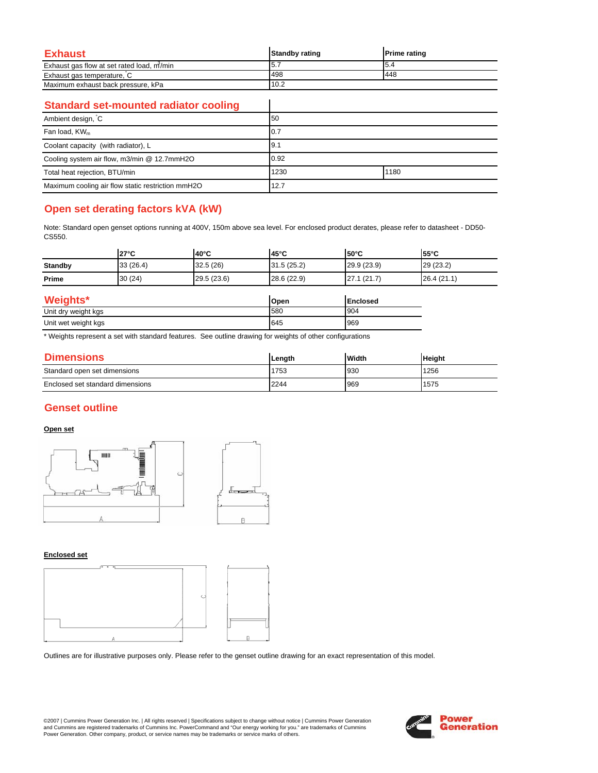| Exhaust                                   | <b>Standby rating</b> | <b>Prime rating</b> |
|-------------------------------------------|-----------------------|---------------------|
| Exhaust gas flow at set rated load, m/min | 5.7                   | I5.4                |
| Exhaust gas temperature, C                | 498                   | 448                 |
| Maximum exhaust back pressure, kPa        | 10.2                  |                     |

 $\overline{\phantom{a}}$ 

### **Standard set-mounted radiator cooling**

| Ambient design, C                                 | 50           |  |  |
|---------------------------------------------------|--------------|--|--|
| Fan load, KW <sub>m</sub>                         | 10.7         |  |  |
| Coolant capacity (with radiator), L               | 9.1          |  |  |
| Cooling system air flow, m3/min @ 12.7mmH2O       | 0.92         |  |  |
| Total heat rejection, BTU/min                     | 1230<br>1180 |  |  |
| Maximum cooling air flow static restriction mmH2O | 12.7         |  |  |

# **Open set derating factors kVA (kW)**

Note: Standard open genset options running at 400V, 150m above sea level. For enclosed product derates, please refer to datasheet - DD50- CS550.

|                | $27^{\circ}$ C | $40^{\circ}$ C | 45°C        | l50°C           | $55^{\circ}$ C |
|----------------|----------------|----------------|-------------|-----------------|----------------|
| <b>Standby</b> | 33(26.4)       | 32.5(26)       | 31.5(25.2)  | 29.9(23.9)      | 29 (23.2)      |
| Prime          | 30(24)         | 29.5 (23.6)    | 28.6 (22.9) | 27.1(21.7)      | 26.4(21.1)     |
| Weights*       |                |                | Open        | <b>Enclosed</b> |                |

| <b>weights</b>      | <b>Open</b> | <b>Enclosed</b> |
|---------------------|-------------|-----------------|
| Unit dry weight kgs | 580         | 904             |
| Unit wet weight kgs | 645         | 969             |

\* Weights represent a set with standard features. See outline drawing for weights of other configurations

| <b>Dimensions</b>                | Lenath | <b>Width</b> | <b>Height</b> |
|----------------------------------|--------|--------------|---------------|
| Standard open set dimensions     | 1753   | 930          | 1256          |
| Enclosed set standard dimensions | 2244   | 969          | 1575          |

### **Genset outline**

### **Open set**



#### **Enclosed set**



Outlines are for illustrative purposes only. Please refer to the genset outline drawing for an exact representation of this model.

©2007 | Cummins Power Generation Inc. | All rights reserved | Specifications subject to change without notice | Cummins Power Generation and Cummins are registered trademarks of Cummins Inc. PowerCommand and "Our energy working for you." are trademarks of Cummins<br>Power Generation. Other company, product, or service names may be trademarks or service marks o